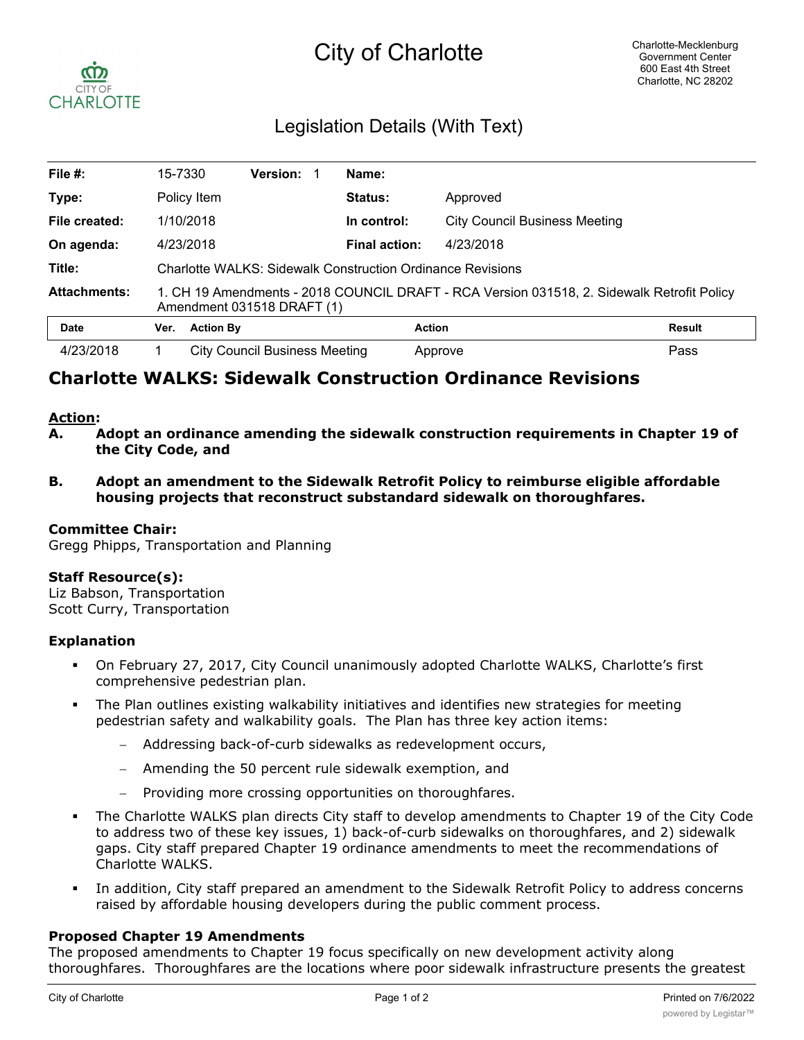

# Legislation Details (With Text)

| File $#$ :          | 15-7330                                                                                                                  |                  | <b>Version:</b>               |  | Name:          |                                      |               |
|---------------------|--------------------------------------------------------------------------------------------------------------------------|------------------|-------------------------------|--|----------------|--------------------------------------|---------------|
| Type:               | Policy Item                                                                                                              |                  |                               |  | <b>Status:</b> | Approved                             |               |
| File created:       | 1/10/2018                                                                                                                |                  |                               |  | In control:    | <b>City Council Business Meeting</b> |               |
| On agenda:          | 4/23/2018                                                                                                                |                  |                               |  | Final action:  | 4/23/2018                            |               |
| Title:              | <b>Charlotte WALKS: Sidewalk Construction Ordinance Revisions</b>                                                        |                  |                               |  |                |                                      |               |
| <b>Attachments:</b> | 1. CH 19 Amendments - 2018 COUNCIL DRAFT - RCA Version 031518, 2. Sidewalk Retrofit Policy<br>Amendment 031518 DRAFT (1) |                  |                               |  |                |                                      |               |
| <b>Date</b>         | Ver.                                                                                                                     | <b>Action By</b> |                               |  |                | <b>Action</b>                        | <b>Result</b> |
| 4/23/2018           |                                                                                                                          |                  | City Council Business Meeting |  |                | Approve                              | Pass          |

# **Charlotte WALKS: Sidewalk Construction Ordinance Revisions**

### **Action:**

- **A. Adopt an ordinance amending the sidewalk construction requirements in Chapter 19 of the City Code, and**
- **B. Adopt an amendment to the Sidewalk Retrofit Policy to reimburse eligible affordable housing projects that reconstruct substandard sidewalk on thoroughfares.**

### **Committee Chair:**

Gregg Phipps, Transportation and Planning

### **Staff Resource(s):**

Liz Babson, Transportation Scott Curry, Transportation

### **Explanation**

- § On February 27, 2017, City Council unanimously adopted Charlotte WALKS, Charlotte's first comprehensive pedestrian plan.
- The Plan outlines existing walkability initiatives and identifies new strategies for meeting pedestrian safety and walkability goals. The Plan has three key action items:
	- Addressing back-of-curb sidewalks as redevelopment occurs,
	- Amending the 50 percent rule sidewalk exemption, and
	- Providing more crossing opportunities on thoroughfares.
- The Charlotte WALKS plan directs City staff to develop amendments to Chapter 19 of the City Code to address two of these key issues, 1) back-of-curb sidewalks on thoroughfares, and 2) sidewalk gaps. City staff prepared Chapter 19 ordinance amendments to meet the recommendations of Charlotte WALKS.
- In addition, City staff prepared an amendment to the Sidewalk Retrofit Policy to address concerns raised by affordable housing developers during the public comment process.

### **Proposed Chapter 19 Amendments**

The proposed amendments to Chapter 19 focus specifically on new development activity along thoroughfares. Thoroughfares are the locations where poor sidewalk infrastructure presents the greatest